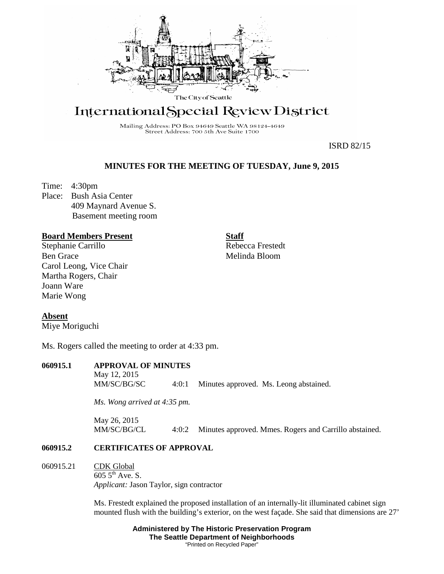

# International Special Review District

Mailing Address: PO Box 94649 Seattle WA 98124-4649 Street Address: 700 5th Ave Suite 1700

ISRD 82/15

## **MINUTES FOR THE MEETING OF TUESDAY, June 9, 2015**

Time: 4:30pm Place: Bush Asia Center 409 Maynard Avenue S. Basement meeting room

### **Board Members Present**

Stephanie Carrillo Ben Grace Carol Leong, Vice Chair Martha Rogers, Chair Joann Ware Marie Wong

**Staff**

Rebecca Frestedt Melinda Bloom

**Absent**

Miye Moriguchi

Ms. Rogers called the meeting to order at 4:33 pm.

| 060915.1 | <b>APPROVAL OF MINUTES</b> |       |                                        |  |
|----------|----------------------------|-------|----------------------------------------|--|
|          | May 12, 2015               |       |                                        |  |
|          | MM/SC/BG/SC                | 4:0:1 | Minutes approved. Ms. Leong abstained. |  |

*Ms. Wong arrived at 4:35 pm.*

May 26, 2015 MM/SC/BG/CL 4:0:2 Minutes approved. Mmes. Rogers and Carrillo abstained.

#### **060915.2 CERTIFICATES OF APPROVAL**

060915.21 CDK Global  $6055$ <sup>th</sup> Ave. S. *Applicant:* Jason Taylor, sign contractor

> Ms. Frestedt explained the proposed installation of an internally-lit illuminated cabinet sign mounted flush with the building's exterior, on the west façade. She said that dimensions are 27'

> > **Administered by The Historic Preservation Program The Seattle Department of Neighborhoods** "Printed on Recycled Paper"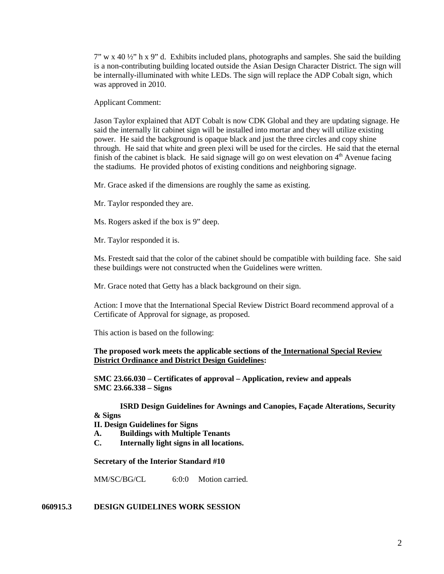$7''$  w x 40  $\frac{1}{2}$  h x 9" d. Exhibits included plans, photographs and samples. She said the building is a non-contributing building located outside the Asian Design Character District. The sign will be internally-illuminated with white LEDs. The sign will replace the ADP Cobalt sign, which was approved in 2010.

Applicant Comment:

Jason Taylor explained that ADT Cobalt is now CDK Global and they are updating signage. He said the internally lit cabinet sign will be installed into mortar and they will utilize existing power. He said the background is opaque black and just the three circles and copy shine through. He said that white and green plexi will be used for the circles. He said that the eternal finish of the cabinet is black. He said signage will go on west elevation on  $4<sup>th</sup>$  Avenue facing the stadiums. He provided photos of existing conditions and neighboring signage.

Mr. Grace asked if the dimensions are roughly the same as existing.

Mr. Taylor responded they are.

Ms. Rogers asked if the box is 9" deep.

Mr. Taylor responded it is.

Ms. Frestedt said that the color of the cabinet should be compatible with building face. She said these buildings were not constructed when the Guidelines were written.

Mr. Grace noted that Getty has a black background on their sign.

Action: I move that the International Special Review District Board recommend approval of a Certificate of Approval for signage, as proposed.

This action is based on the following:

#### **The proposed work meets the applicable sections of the International Special Review District Ordinance and District Design Guidelines:**

**SMC 23.66.030 – Certificates of approval – Application, review and appeals SMC 23.66.338 – Signs**

**ISRD Design Guidelines for Awnings and Canopies, Façade Alterations, Security & Signs**

**II. Design Guidelines for Signs**

- **A. Buildings with Multiple Tenants**
- **C. Internally light signs in all locations.**

**Secretary of the Interior Standard #10**

MM/SC/BG/CL 6:0:0 Motion carried.

#### **060915.3 DESIGN GUIDELINES WORK SESSION**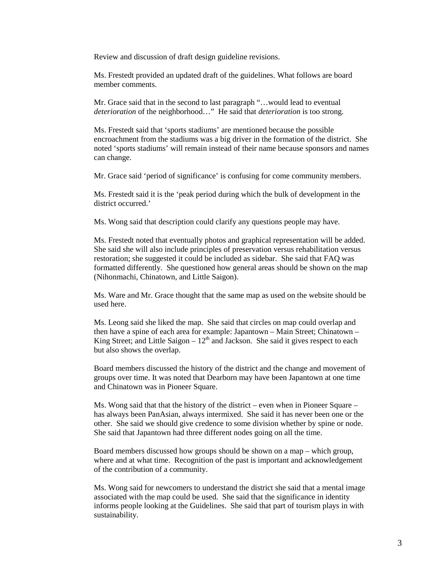Review and discussion of draft design guideline revisions.

Ms. Frestedt provided an updated draft of the guidelines. What follows are board member comments.

Mr. Grace said that in the second to last paragraph "…would lead to eventual *deterioration* of the neighborhood…" He said that *deterioration* is too strong.

Ms. Frestedt said that 'sports stadiums' are mentioned because the possible encroachment from the stadiums was a big driver in the formation of the district. She noted 'sports stadiums' will remain instead of their name because sponsors and names can change.

Mr. Grace said 'period of significance' is confusing for come community members.

Ms. Frestedt said it is the 'peak period during which the bulk of development in the district occurred.'

Ms. Wong said that description could clarify any questions people may have.

Ms. Frestedt noted that eventually photos and graphical representation will be added. She said she will also include principles of preservation versus rehabilitation versus restoration; she suggested it could be included as sidebar. She said that FAQ was formatted differently. She questioned how general areas should be shown on the map (Nihonmachi, Chinatown, and Little Saigon).

Ms. Ware and Mr. Grace thought that the same map as used on the website should be used here.

Ms. Leong said she liked the map. She said that circles on map could overlap and then have a spine of each area for example: Japantown – Main Street; Chinatown – King Street; and Little Saigon –  $12<sup>th</sup>$  and Jackson. She said it gives respect to each but also shows the overlap.

Board members discussed the history of the district and the change and movement of groups over time. It was noted that Dearborn may have been Japantown at one time and Chinatown was in Pioneer Square.

Ms. Wong said that that the history of the district – even when in Pioneer Square – has always been PanAsian, always intermixed. She said it has never been one or the other. She said we should give credence to some division whether by spine or node. She said that Japantown had three different nodes going on all the time.

Board members discussed how groups should be shown on a map – which group, where and at what time. Recognition of the past is important and acknowledgement of the contribution of a community.

Ms. Wong said for newcomers to understand the district she said that a mental image associated with the map could be used. She said that the significance in identity informs people looking at the Guidelines. She said that part of tourism plays in with sustainability.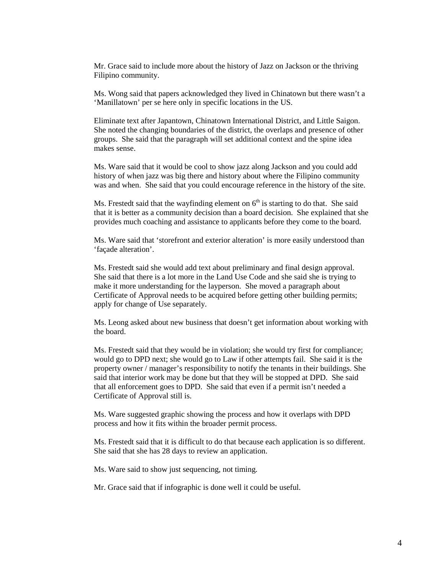Mr. Grace said to include more about the history of Jazz on Jackson or the thriving Filipino community.

Ms. Wong said that papers acknowledged they lived in Chinatown but there wasn't a 'Manillatown' per se here only in specific locations in the US.

Eliminate text after Japantown, Chinatown International District, and Little Saigon. She noted the changing boundaries of the district, the overlaps and presence of other groups. She said that the paragraph will set additional context and the spine idea makes sense.

Ms. Ware said that it would be cool to show jazz along Jackson and you could add history of when jazz was big there and history about where the Filipino community was and when. She said that you could encourage reference in the history of the site.

Ms. Frestedt said that the wayfinding element on  $6<sup>th</sup>$  is starting to do that. She said that it is better as a community decision than a board decision. She explained that she provides much coaching and assistance to applicants before they come to the board.

Ms. Ware said that 'storefront and exterior alteration' is more easily understood than 'façade alteration'.

Ms. Frestedt said she would add text about preliminary and final design approval. She said that there is a lot more in the Land Use Code and she said she is trying to make it more understanding for the layperson. She moved a paragraph about Certificate of Approval needs to be acquired before getting other building permits; apply for change of Use separately.

Ms. Leong asked about new business that doesn't get information about working with the board.

Ms. Frestedt said that they would be in violation; she would try first for compliance; would go to DPD next; she would go to Law if other attempts fail. She said it is the property owner / manager's responsibility to notify the tenants in their buildings. She said that interior work may be done but that they will be stopped at DPD. She said that all enforcement goes to DPD. She said that even if a permit isn't needed a Certificate of Approval still is.

Ms. Ware suggested graphic showing the process and how it overlaps with DPD process and how it fits within the broader permit process.

Ms. Frestedt said that it is difficult to do that because each application is so different. She said that she has 28 days to review an application.

Ms. Ware said to show just sequencing, not timing.

Mr. Grace said that if infographic is done well it could be useful.